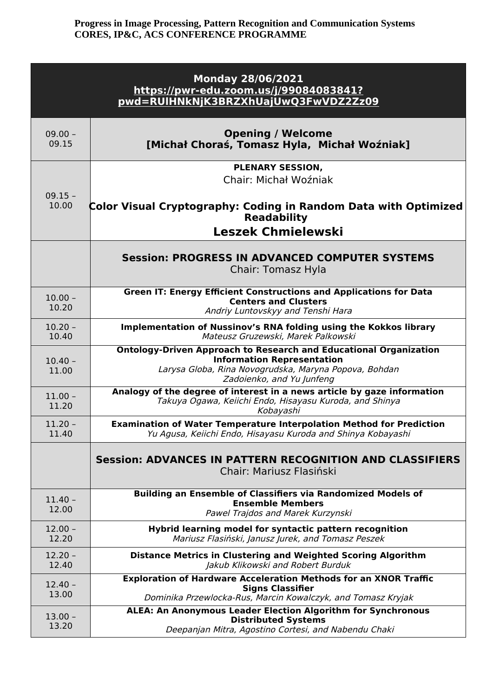| <b>Monday 28/06/2021</b><br>https://pwr-edu.zoom.us/j/99084083841?<br>pwd=RUIHNkNjK3BRZXhUajUwQ3FwVDZ2Zz09 |                                                                                                                                                                                                     |  |
|------------------------------------------------------------------------------------------------------------|-----------------------------------------------------------------------------------------------------------------------------------------------------------------------------------------------------|--|
| $09.00 -$<br>09.15                                                                                         | <b>Opening / Welcome</b><br>[Michał Choraś, Tomasz Hyla, Michał Woźniak]                                                                                                                            |  |
| $09.15 -$                                                                                                  | PLENARY SESSION,<br>Chair: Michał Woźniak                                                                                                                                                           |  |
| 10.00                                                                                                      | Color Visual Cryptography: Coding in Random Data with Optimized<br><b>Readability</b><br><b>Leszek Chmielewski</b>                                                                                  |  |
|                                                                                                            | <b>Session: PROGRESS IN ADVANCED COMPUTER SYSTEMS</b><br>Chair: Tomasz Hyla                                                                                                                         |  |
| $10.00 -$<br>10.20                                                                                         | <b>Green IT: Energy Efficient Constructions and Applications for Data</b><br><b>Centers and Clusters</b><br>Andriy Luntovskyy and Tenshi Hara                                                       |  |
| $10.20 -$<br>10.40                                                                                         | Implementation of Nussinov's RNA folding using the Kokkos library<br>Mateusz Gruzewski, Marek Palkowski                                                                                             |  |
| $10.40 -$<br>11.00                                                                                         | <b>Ontology-Driven Approach to Research and Educational Organization</b><br><b>Information Representation</b><br>Larysa Globa, Rina Novogrudska, Maryna Popova, Bohdan<br>Zadoienko, and Yu Junfeng |  |
| $11.00 -$<br>11.20                                                                                         | Analogy of the degree of interest in a news article by gaze information<br>Takuya Ogawa, Keiichi Endo, Hisayasu Kuroda, and Shinya<br>Kobayashi                                                     |  |
| $11.20 -$<br>11.40                                                                                         | <b>Examination of Water Temperature Interpolation Method for Prediction</b><br>Yu Agusa, Keiichi Endo, Hisayasu Kuroda and Shinya Kobayashi                                                         |  |
|                                                                                                            | <b>Session: ADVANCES IN PATTERN RECOGNITION AND CLASSIFIERS</b><br>Chair: Mariusz Flasiński                                                                                                         |  |
| $11.40 -$<br>12.00                                                                                         | Building an Ensemble of Classifiers via Randomized Models of<br><b>Ensemble Members</b><br>Pawel Trajdos and Marek Kurzynski                                                                        |  |
| $12.00 -$<br>12.20                                                                                         | Hybrid learning model for syntactic pattern recognition<br>Mariusz Flasiński, Janusz Jurek, and Tomasz Peszek                                                                                       |  |
| $12.20 -$<br>12.40                                                                                         | <b>Distance Metrics in Clustering and Weighted Scoring Algorithm</b><br>Jakub Klikowski and Robert Burduk                                                                                           |  |
| $12.40 -$<br>13.00                                                                                         | <b>Exploration of Hardware Acceleration Methods for an XNOR Traffic</b><br><b>Signs Classifier</b><br>Dominika Przewlocka-Rus, Marcin Kowalczyk, and Tomasz Kryjak                                  |  |
| $13.00 -$<br>13.20                                                                                         | <b>ALEA: An Anonymous Leader Election Algorithm for Synchronous</b><br><b>Distributed Systems</b><br>Deepanjan Mitra, Agostino Cortesi, and Nabendu Chaki                                           |  |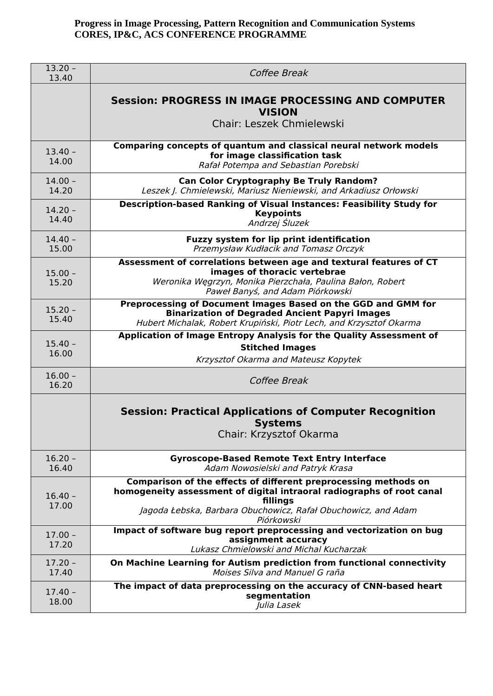| $13.20 -$<br>13.40 | Coffee Break                                                                                                                                                                                                                        |
|--------------------|-------------------------------------------------------------------------------------------------------------------------------------------------------------------------------------------------------------------------------------|
|                    | <b>Session: PROGRESS IN IMAGE PROCESSING AND COMPUTER</b><br><b>VISION</b><br><b>Chair: Leszek Chmielewski</b>                                                                                                                      |
|                    |                                                                                                                                                                                                                                     |
| $13.40 -$<br>14.00 | Comparing concepts of quantum and classical neural network models<br>for image classification task<br>Rafał Potempa and Sebastian Porebski                                                                                          |
| $14.00 -$<br>14.20 | <b>Can Color Cryptography Be Truly Random?</b><br>Leszek J. Chmielewski, Mariusz Nieniewski, and Arkadiusz Orłowski                                                                                                                 |
| $14.20 -$<br>14.40 | <b>Description-based Ranking of Visual Instances: Feasibility Study for</b><br><b>Keypoints</b><br>Andrzej Śluzek                                                                                                                   |
| $14.40 -$<br>15.00 | Fuzzy system for lip print identification<br>Przemysław Kudłacik and Tomasz Orczyk                                                                                                                                                  |
| $15.00 -$<br>15.20 | Assessment of correlations between age and textural features of CT<br>images of thoracic vertebrae<br>Weronika Węgrzyn, Monika Pierzchała, Paulina Bałon, Robert<br>Paweł Banyś, and Adam Piórkowski                                |
| $15.20 -$<br>15.40 | Preprocessing of Document Images Based on the GGD and GMM for<br><b>Binarization of Degraded Ancient Papyri Images</b><br>Hubert Michalak, Robert Krupiński, Piotr Lech, and Krzysztof Okarma                                       |
| $15.40 -$<br>16.00 | Application of Image Entropy Analysis for the Quality Assessment of<br><b>Stitched Images</b><br>Krzysztof Okarma and Mateusz Kopytek                                                                                               |
| $16.00 -$<br>16.20 | Coffee Break                                                                                                                                                                                                                        |
|                    | <b>Session: Practical Applications of Computer Recognition</b><br><b>Systems</b><br>Chair: Krzysztof Okarma                                                                                                                         |
| $16.20 -$<br>16.40 | <b>Gyroscope-Based Remote Text Entry Interface</b><br>Adam Nowosielski and Patryk Krasa                                                                                                                                             |
| $16.40 -$<br>17.00 | Comparison of the effects of different preprocessing methods on<br>homogeneity assessment of digital intraoral radiographs of root canal<br>fillings<br>Jagoda Łebska, Barbara Obuchowicz, Rafał Obuchowicz, and Adam<br>Piórkowski |
| $17.00 -$<br>17.20 | Impact of software bug report preprocessing and vectorization on bug<br>assignment accuracy<br>Lukasz Chmielowski and Michal Kucharzak                                                                                              |
| $17.20 -$<br>17.40 | On Machine Learning for Autism prediction from functional connectivity<br>Moises Silva and Manuel G raña                                                                                                                            |
| $17.40 -$<br>18.00 | The impact of data preprocessing on the accuracy of CNN-based heart<br>segmentation<br>Julia Lasek                                                                                                                                  |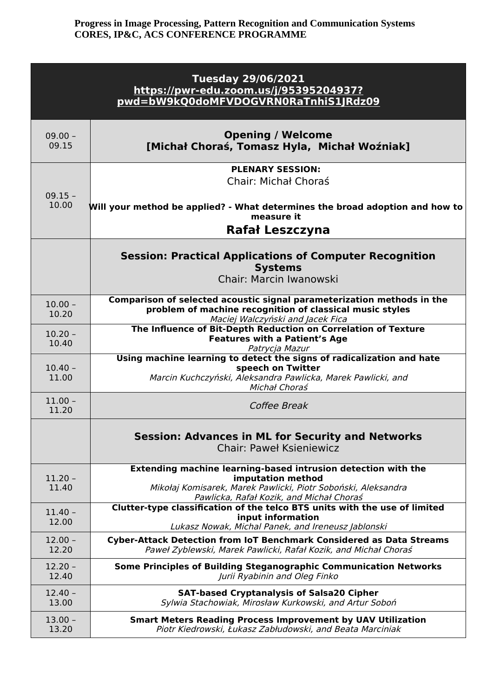| <b>Tuesday 29/06/2021</b><br>https://pwr-edu.zoom.us/j/95395204937?<br>pwd=bW9kQ0doMFVDOGVRN0RaTnhiS1JRdz09 |                                                                                                                                                                                                 |  |
|-------------------------------------------------------------------------------------------------------------|-------------------------------------------------------------------------------------------------------------------------------------------------------------------------------------------------|--|
| $09.00 -$<br>09.15                                                                                          | <b>Opening / Welcome</b><br>[Michał Choraś, Tomasz Hyla, Michał Woźniak]                                                                                                                        |  |
| $09.15 -$                                                                                                   | <b>PLENARY SESSION:</b><br>Chair: Michał Choraś                                                                                                                                                 |  |
| 10.00                                                                                                       | Will your method be applied? - What determines the broad adoption and how to<br>measure it<br>Rafał Leszczyna                                                                                   |  |
|                                                                                                             | <b>Session: Practical Applications of Computer Recognition</b><br><b>Systems</b><br>Chair: Marcin Iwanowski                                                                                     |  |
| $10.00 -$<br>10.20                                                                                          | Comparison of selected acoustic signal parameterization methods in the<br>problem of machine recognition of classical music styles<br>Maciej Walczyński and Jacek Fica                          |  |
| $10.20 -$<br>10.40                                                                                          | The Influence of Bit-Depth Reduction on Correlation of Texture<br><b>Features with a Patient's Age</b><br>Patrycja Mazur                                                                        |  |
| $10.40 -$<br>11.00                                                                                          | Using machine learning to detect the signs of radicalization and hate<br>speech on Twitter<br>Marcin Kuchczyński, Aleksandra Pawlicka, Marek Pawlicki, and<br>Michał Choraś                     |  |
| $11.00 -$<br>11.20                                                                                          | Coffee Break                                                                                                                                                                                    |  |
|                                                                                                             | Session: Advances in ML for Security and Networks<br><b>Chair: Paweł Ksieniewicz</b>                                                                                                            |  |
| $11.20 -$<br>11.40                                                                                          | Extending machine learning-based intrusion detection with the<br>imputation method<br>Mikołaj Komisarek, Marek Pawlicki, Piotr Soboński, Aleksandra<br>Pawlicka, Rafał Kozik, and Michał Choraś |  |
| $11.40 -$<br>12.00                                                                                          | Clutter-type classification of the telco BTS units with the use of limited<br>input information<br>Lukasz Nowak, Michal Panek, and Ireneusz Jablonski                                           |  |
| $12.00 -$<br>12.20                                                                                          | <b>Cyber-Attack Detection from IoT Benchmark Considered as Data Streams</b><br>Paweł Zyblewski, Marek Pawlicki, Rafał Kozik, and Michał Choraś                                                  |  |
| $12.20 -$<br>12.40                                                                                          | Some Principles of Building Steganographic Communication Networks<br>Jurii Ryabinin and Oleg Finko                                                                                              |  |
| $12.40 -$<br>13.00                                                                                          | <b>SAT-based Cryptanalysis of Salsa20 Cipher</b><br>Sylwia Stachowiak, Mirosław Kurkowski, and Artur Soboń                                                                                      |  |
| $13.00 -$<br>13.20                                                                                          | <b>Smart Meters Reading Process Improvement by UAV Utilization</b><br>Piotr Kiedrowski, Łukasz Zabłudowski, and Beata Marciniak                                                                 |  |